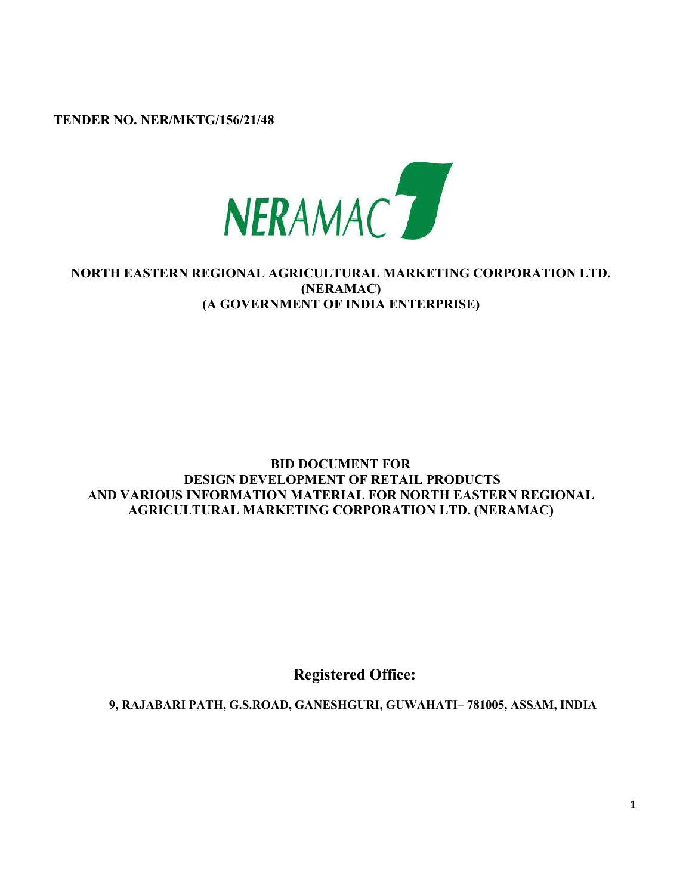TENDER NO. NER/MKTG/156/21/48



## NORTH EASTERN REGIONAL AGRICULTURAL MARKETING CORPORATION LTD. (NERAMAC) (A GOVERNMENT OF INDIA ENTERPRISE)

### BID DOCUMENT FOR DESIGN DEVELOPMENT OF RETAIL PRODUCTS AND VARIOUS INFORMATION MATERIAL FOR NORTH EASTERN REGIONAL AGRICULTURAL MARKETING CORPORATION LTD. (NERAMAC)

Registered Office:

9, RAJABARI PATH, G.S.ROAD, GANESHGURI, GUWAHATI– 781005, ASSAM, INDIA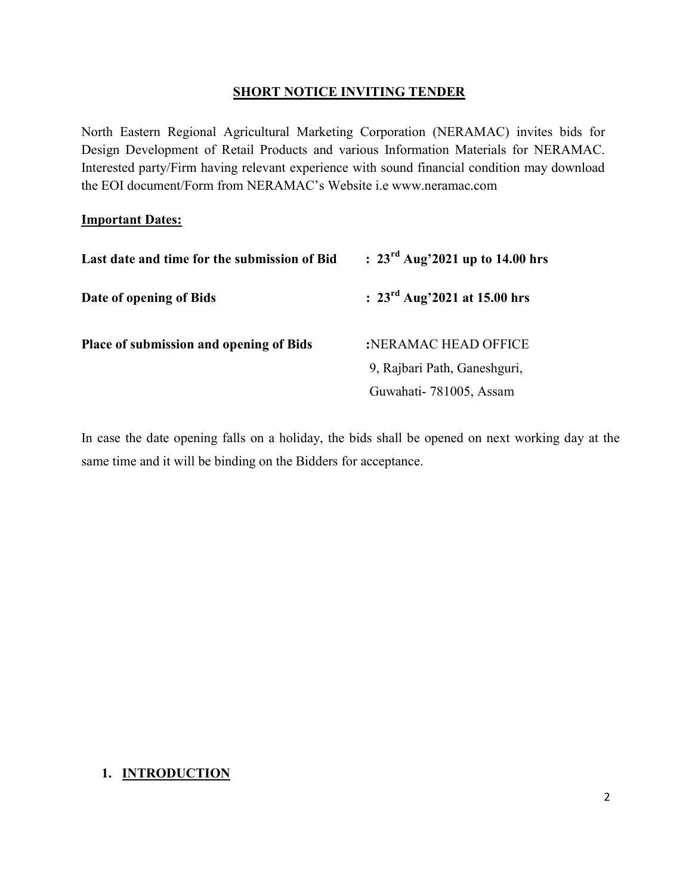### SHORT NOTICE INVITING TENDER

North Eastern Regional Agricultural Marketing Corporation (NERAMAC) invites bids for Design Development of Retail Products and various Information Materials for NERAMAC. Interested party/Firm having relevant experience with sound financial condition may download the EOI document/Form from NERAMAC's Website i.e www.neramac.com

#### **Important Dates:**

| Last date and time for the submission of Bid   | : $23^{\text{rd}}$ Aug'2021 up to 14.00 hrs |  |  |
|------------------------------------------------|---------------------------------------------|--|--|
| Date of opening of Bids                        | : $23^{\text{rd}}$ Aug'2021 at 15.00 hrs    |  |  |
| <b>Place of submission and opening of Bids</b> | :NERAMAC HEAD OFFICE                        |  |  |
|                                                | 9, Rajbari Path, Ganeshguri,                |  |  |
|                                                | Guwahati-781005, Assam                      |  |  |

In case the date opening falls on a holiday, the bids shall be opened on next working day at the same time and it will be binding on the Bidders for acceptance.

## 1. INTRODUCTION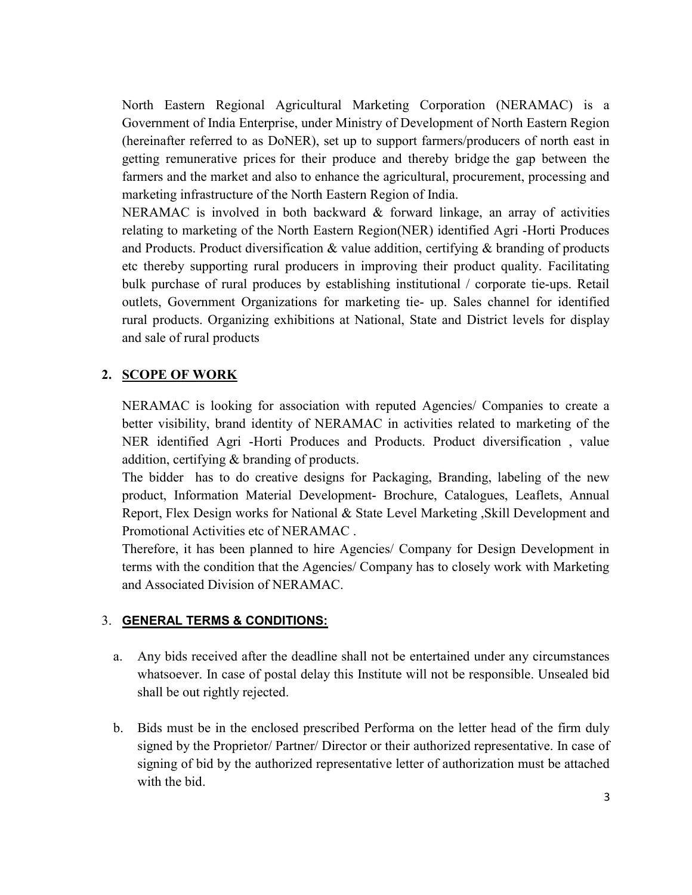North Eastern Regional Agricultural Marketing Corporation (NERAMAC) is a Government of India Enterprise, under Ministry of Development of North Eastern Region (hereinafter referred to as DoNER), set up to support farmers/producers of north east in getting remunerative prices for their produce and thereby bridge the gap between the farmers and the market and also to enhance the agricultural, procurement, processing and marketing infrastructure of the North Eastern Region of India.

NERAMAC is involved in both backward & forward linkage, an array of activities relating to marketing of the North Eastern Region(NER) identified Agri -Horti Produces and Products. Product diversification & value addition, certifying & branding of products etc thereby supporting rural producers in improving their product quality. Facilitating bulk purchase of rural produces by establishing institutional / corporate tie-ups. Retail outlets, Government Organizations for marketing tie- up. Sales channel for identified rural products. Organizing exhibitions at National, State and District levels for display and sale of rural products

### 2. SCOPE OF WORK

NERAMAC is looking for association with reputed Agencies/ Companies to create a better visibility, brand identity of NERAMAC in activities related to marketing of the NER identified Agri -Horti Produces and Products. Product diversification , value addition, certifying & branding of products.

The bidder has to do creative designs for Packaging, Branding, labeling of the new product, Information Material Development- Brochure, Catalogues, Leaflets, Annual Report, Flex Design works for National & State Level Marketing ,Skill Development and Promotional Activities etc of NERAMAC.

Therefore, it has been planned to hire Agencies/ Company for Design Development in terms with the condition that the Agencies/ Company has to closely work with Marketing and Associated Division of NERAMAC.

#### 3. GENERAL TERMS & CONDITIONS:

- a. Any bids received after the deadline shall not be entertained under any circumstances whatsoever. In case of postal delay this Institute will not be responsible. Unsealed bid shall be out rightly rejected.
- b. Bids must be in the enclosed prescribed Performa on the letter head of the firm duly signed by the Proprietor/ Partner/ Director or their authorized representative. In case of signing of bid by the authorized representative letter of authorization must be attached with the bid.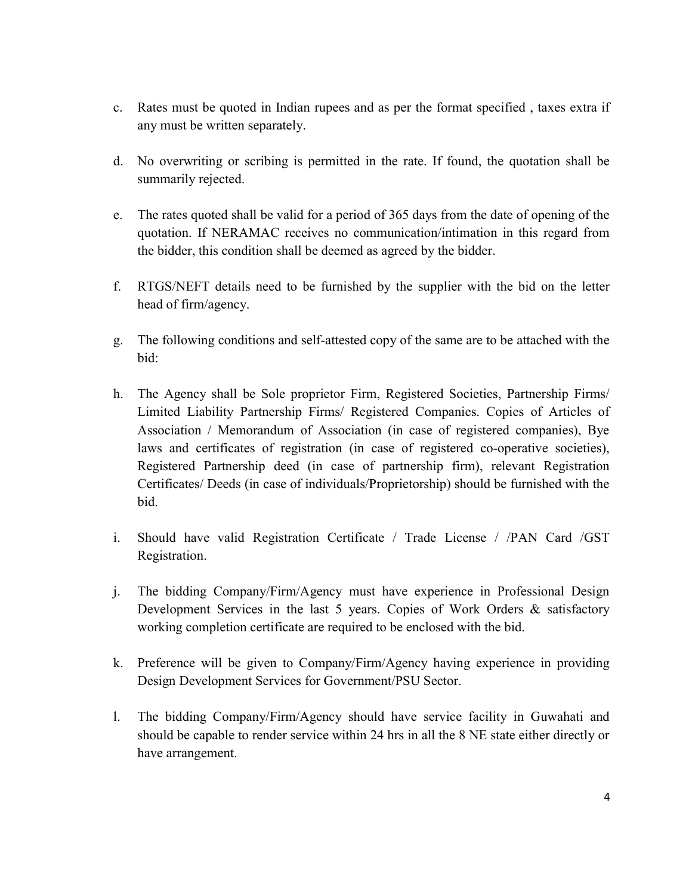- c. Rates must be quoted in Indian rupees and as per the format specified , taxes extra if any must be written separately.
- d. No overwriting or scribing is permitted in the rate. If found, the quotation shall be summarily rejected.
- e. The rates quoted shall be valid for a period of 365 days from the date of opening of the quotation. If NERAMAC receives no communication/intimation in this regard from the bidder, this condition shall be deemed as agreed by the bidder.
- f. RTGS/NEFT details need to be furnished by the supplier with the bid on the letter head of firm/agency.
- g. The following conditions and self-attested copy of the same are to be attached with the bid:
- h. The Agency shall be Sole proprietor Firm, Registered Societies, Partnership Firms/ Limited Liability Partnership Firms/ Registered Companies. Copies of Articles of Association / Memorandum of Association (in case of registered companies), Bye laws and certificates of registration (in case of registered co-operative societies), Registered Partnership deed (in case of partnership firm), relevant Registration Certificates/ Deeds (in case of individuals/Proprietorship) should be furnished with the bid.
- i. Should have valid Registration Certificate / Trade License / /PAN Card /GST Registration.
- j. The bidding Company/Firm/Agency must have experience in Professional Design Development Services in the last 5 years. Copies of Work Orders & satisfactory working completion certificate are required to be enclosed with the bid.
- k. Preference will be given to Company/Firm/Agency having experience in providing Design Development Services for Government/PSU Sector.
- l. The bidding Company/Firm/Agency should have service facility in Guwahati and should be capable to render service within 24 hrs in all the 8 NE state either directly or have arrangement.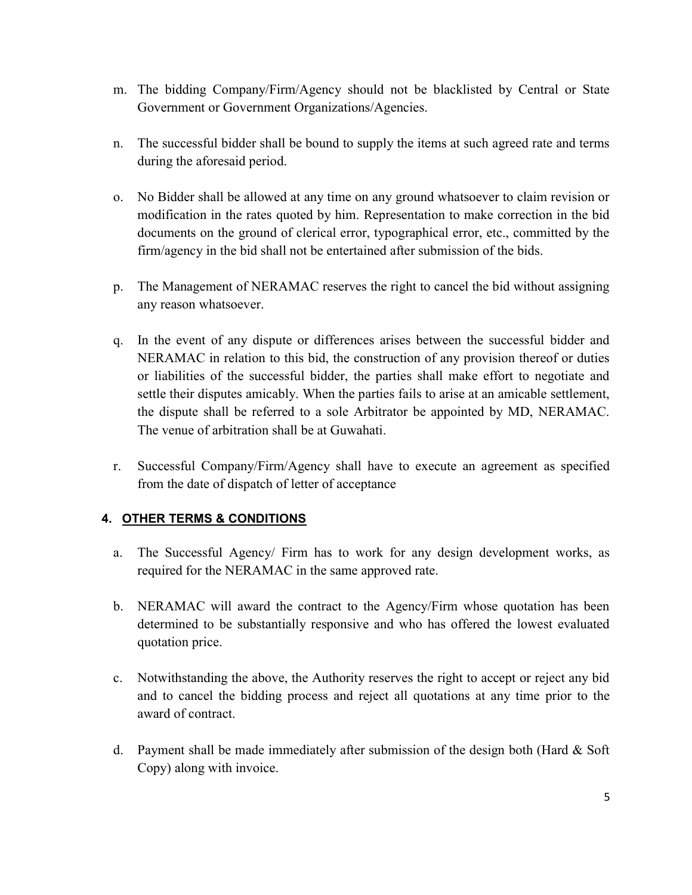- m. The bidding Company/Firm/Agency should not be blacklisted by Central or State Government or Government Organizations/Agencies.
- n. The successful bidder shall be bound to supply the items at such agreed rate and terms during the aforesaid period.
- o. No Bidder shall be allowed at any time on any ground whatsoever to claim revision or modification in the rates quoted by him. Representation to make correction in the bid documents on the ground of clerical error, typographical error, etc., committed by the firm/agency in the bid shall not be entertained after submission of the bids.
- p. The Management of NERAMAC reserves the right to cancel the bid without assigning any reason whatsoever.
- q. In the event of any dispute or differences arises between the successful bidder and NERAMAC in relation to this bid, the construction of any provision thereof or duties or liabilities of the successful bidder, the parties shall make effort to negotiate and settle their disputes amicably. When the parties fails to arise at an amicable settlement, the dispute shall be referred to a sole Arbitrator be appointed by MD, NERAMAC. The venue of arbitration shall be at Guwahati.
- r. Successful Company/Firm/Agency shall have to execute an agreement as specified from the date of dispatch of letter of acceptance

## 4. OTHER TERMS & CONDITIONS

- a. The Successful Agency/ Firm has to work for any design development works, as required for the NERAMAC in the same approved rate.
- b. NERAMAC will award the contract to the Agency/Firm whose quotation has been determined to be substantially responsive and who has offered the lowest evaluated quotation price.
- c. Notwithstanding the above, the Authority reserves the right to accept or reject any bid and to cancel the bidding process and reject all quotations at any time prior to the award of contract.
- d. Payment shall be made immediately after submission of the design both (Hard & Soft Copy) along with invoice.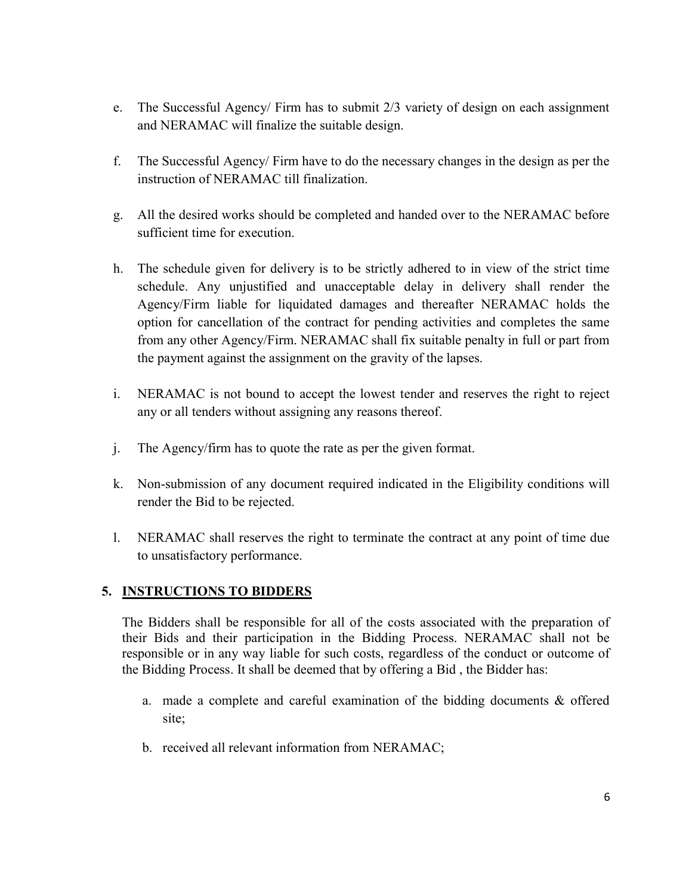- e. The Successful Agency/ Firm has to submit 2/3 variety of design on each assignment and NERAMAC will finalize the suitable design.
- f. The Successful Agency/ Firm have to do the necessary changes in the design as per the instruction of NERAMAC till finalization.
- g. All the desired works should be completed and handed over to the NERAMAC before sufficient time for execution.
- h. The schedule given for delivery is to be strictly adhered to in view of the strict time schedule. Any unjustified and unacceptable delay in delivery shall render the Agency/Firm liable for liquidated damages and thereafter NERAMAC holds the option for cancellation of the contract for pending activities and completes the same from any other Agency/Firm. NERAMAC shall fix suitable penalty in full or part from the payment against the assignment on the gravity of the lapses.
- i. NERAMAC is not bound to accept the lowest tender and reserves the right to reject any or all tenders without assigning any reasons thereof.
- j. The Agency/firm has to quote the rate as per the given format.
- k. Non-submission of any document required indicated in the Eligibility conditions will render the Bid to be rejected.
- l. NERAMAC shall reserves the right to terminate the contract at any point of time due to unsatisfactory performance.

## 5. INSTRUCTIONS TO BIDDERS

The Bidders shall be responsible for all of the costs associated with the preparation of their Bids and their participation in the Bidding Process. NERAMAC shall not be responsible or in any way liable for such costs, regardless of the conduct or outcome of the Bidding Process. It shall be deemed that by offering a Bid , the Bidder has:

- a. made a complete and careful examination of the bidding documents & offered site;
- b. received all relevant information from NERAMAC;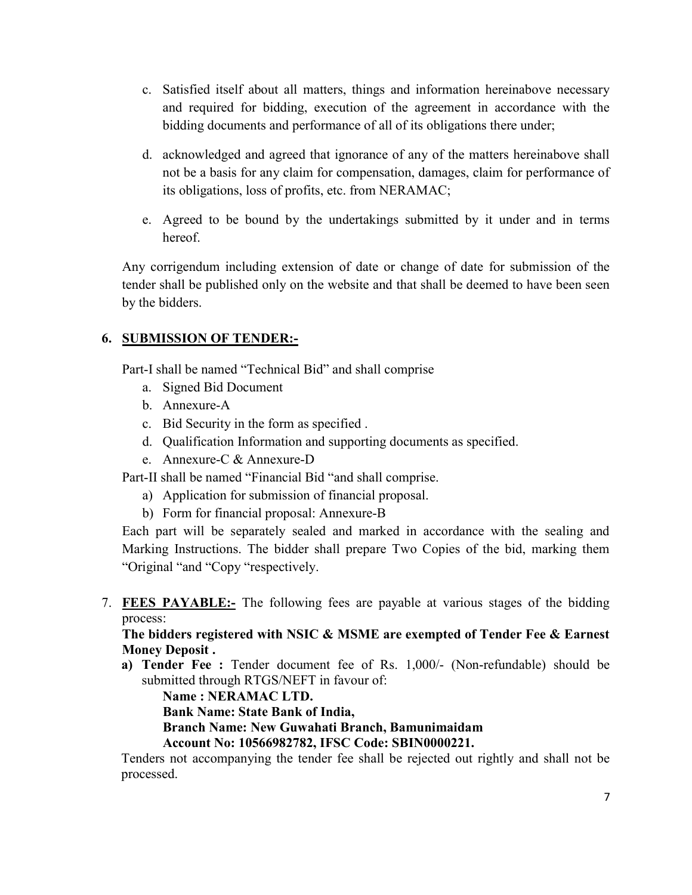- c. Satisfied itself about all matters, things and information hereinabove necessary and required for bidding, execution of the agreement in accordance with the bidding documents and performance of all of its obligations there under;
- d. acknowledged and agreed that ignorance of any of the matters hereinabove shall not be a basis for any claim for compensation, damages, claim for performance of its obligations, loss of profits, etc. from NERAMAC;
- e. Agreed to be bound by the undertakings submitted by it under and in terms hereof.

Any corrigendum including extension of date or change of date for submission of the tender shall be published only on the website and that shall be deemed to have been seen by the bidders.

## 6. SUBMISSION OF TENDER:-

Part-I shall be named "Technical Bid" and shall comprise

- a. Signed Bid Document
- b. Annexure-A
- c. Bid Security in the form as specified .
- d. Qualification Information and supporting documents as specified.
- e. Annexure-C & Annexure-D

Part-II shall be named "Financial Bid "and shall comprise.

- a) Application for submission of financial proposal.
- b) Form for financial proposal: Annexure-B

Each part will be separately sealed and marked in accordance with the sealing and Marking Instructions. The bidder shall prepare Two Copies of the bid, marking them "Original "and "Copy "respectively.

7. FEES PAYABLE:- The following fees are payable at various stages of the bidding process:

The bidders registered with NSIC & MSME are exempted of Tender Fee & Earnest Money Deposit .

a) Tender Fee : Tender document fee of Rs. 1,000/- (Non-refundable) should be submitted through RTGS/NEFT in favour of:

Name : NERAMAC LTD.

Bank Name: State Bank of India,

Branch Name: New Guwahati Branch, Bamunimaidam

Account No: 10566982782, IFSC Code: SBIN0000221.

Tenders not accompanying the tender fee shall be rejected out rightly and shall not be processed.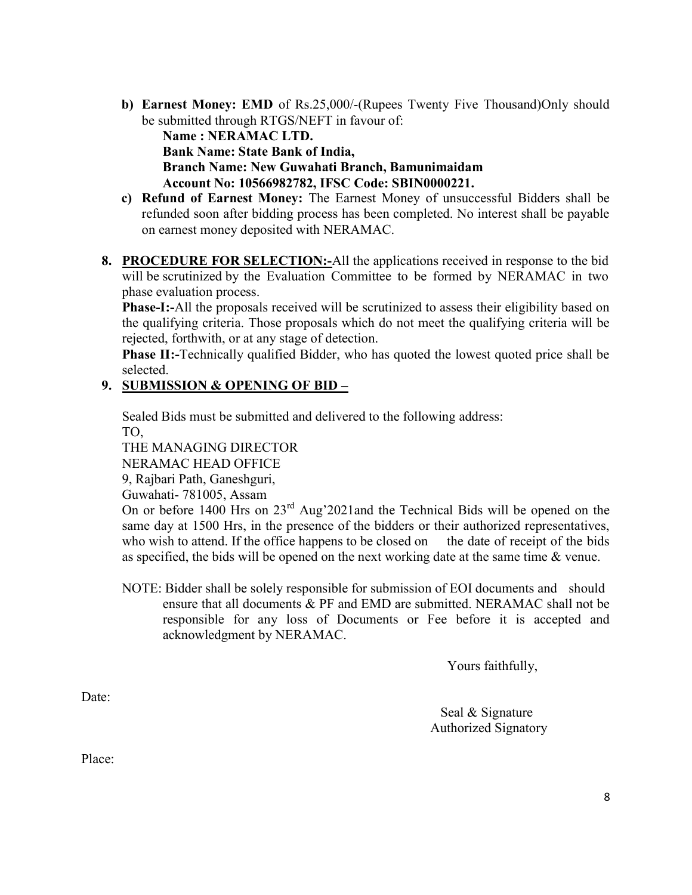- b) Earnest Money: EMD of Rs.25,000/-(Rupees Twenty Five Thousand)Only should be submitted through RTGS/NEFT in favour of: Name : NERAMAC LTD. Bank Name: State Bank of India, Branch Name: New Guwahati Branch, Bamunimaidam Account No: 10566982782, IFSC Code: SBIN0000221.
- c) Refund of Earnest Money: The Earnest Money of unsuccessful Bidders shall be refunded soon after bidding process has been completed. No interest shall be payable on earnest money deposited with NERAMAC.
- 8. PROCEDURE FOR SELECTION:-All the applications received in response to the bid will be scrutinized by the Evaluation Committee to be formed by NERAMAC in two phase evaluation process.

Phase-I:-All the proposals received will be scrutinized to assess their eligibility based on the qualifying criteria. Those proposals which do not meet the qualifying criteria will be rejected, forthwith, or at any stage of detection.

Phase II:-Technically qualified Bidder, who has quoted the lowest quoted price shall be selected.

## 9. SUBMISSION & OPENING OF BID –

Sealed Bids must be submitted and delivered to the following address: TO,

THE MANAGING DIRECTOR

NERAMAC HEAD OFFICE

9, Rajbari Path, Ganeshguri,

Guwahati- 781005, Assam

On or before 1400 Hrs on 23<sup>rd</sup> Aug'2021and the Technical Bids will be opened on the same day at 1500 Hrs, in the presence of the bidders or their authorized representatives, who wish to attend. If the office happens to be closed on the date of receipt of the bids as specified, the bids will be opened on the next working date at the same time & venue.

NOTE: Bidder shall be solely responsible for submission of EOI documents and should ensure that all documents & PF and EMD are submitted. NERAMAC shall not be responsible for any loss of Documents or Fee before it is accepted and acknowledgment by NERAMAC.

Yours faithfully,

Date:

 Seal & Signature Authorized Signatory

Place: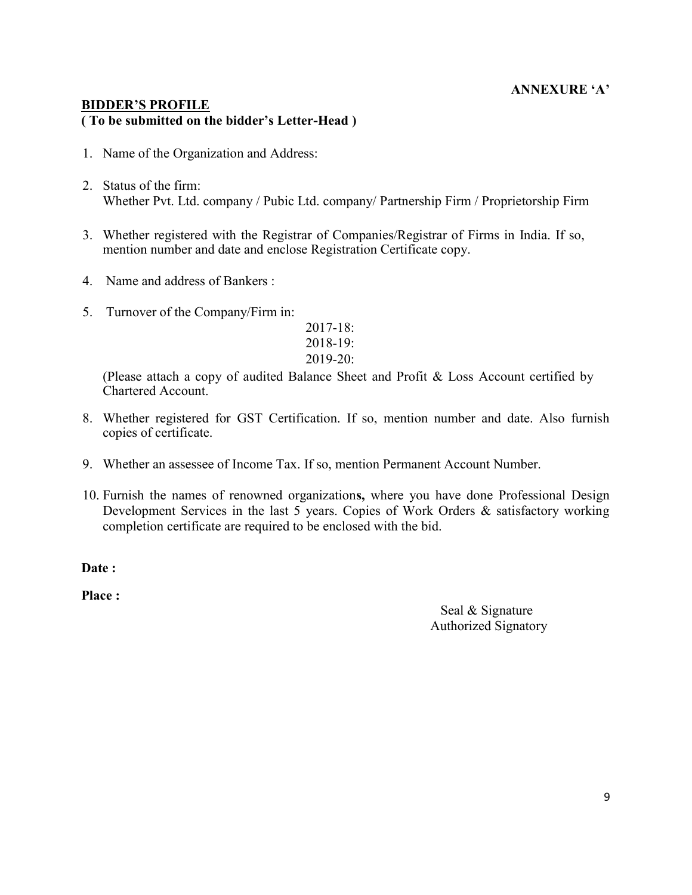### ANNEXURE 'A'

#### BIDDER'S PROFILE ( To be submitted on the bidder's Letter-Head )

- 1. Name of the Organization and Address:
- 2. Status of the firm: Whether Pvt. Ltd. company / Pubic Ltd. company/ Partnership Firm / Proprietorship Firm
- 3. Whether registered with the Registrar of Companies/Registrar of Firms in India. If so, mention number and date and enclose Registration Certificate copy.
- 4. Name and address of Bankers :
- 5. Turnover of the Company/Firm in:

2017-18: 2018-19: 2019-20:

(Please attach a copy of audited Balance Sheet and Profit & Loss Account certified by Chartered Account.

- 8. Whether registered for GST Certification. If so, mention number and date. Also furnish copies of certificate.
- 9. Whether an assessee of Income Tax. If so, mention Permanent Account Number.
- 10. Furnish the names of renowned organizations, where you have done Professional Design Development Services in the last 5 years. Copies of Work Orders & satisfactory working completion certificate are required to be enclosed with the bid.

Date:

Place :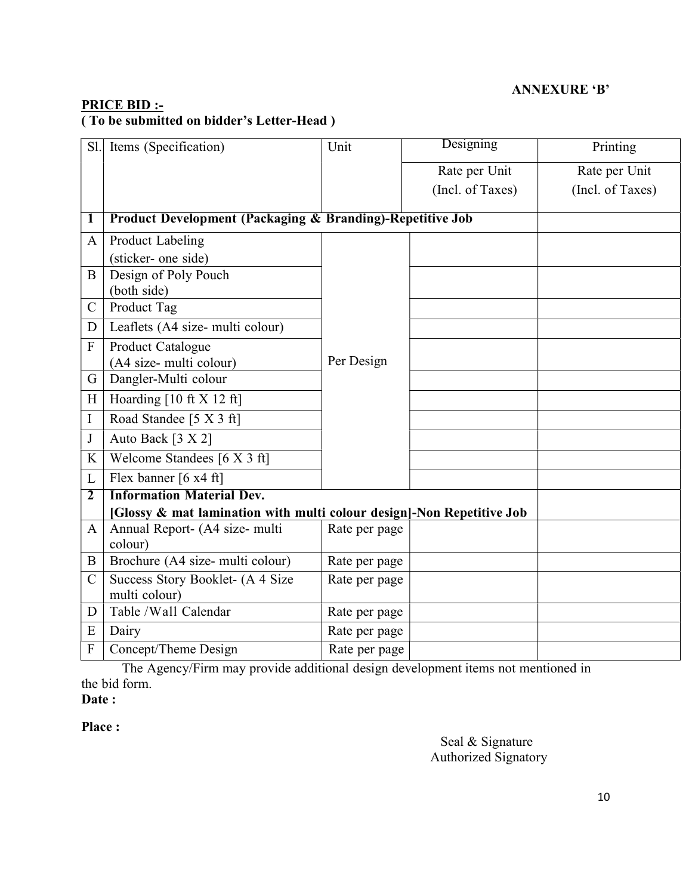## ANNEXURE 'B'

## PRICE BID :- ( To be submitted on bidder's Letter-Head )

| Sl.           | Items (Specification)                                                 | Unit          | Designing        | Printing         |  |
|---------------|-----------------------------------------------------------------------|---------------|------------------|------------------|--|
|               |                                                                       |               | Rate per Unit    | Rate per Unit    |  |
|               |                                                                       |               | (Incl. of Taxes) | (Incl. of Taxes) |  |
|               |                                                                       |               |                  |                  |  |
| $\mathbf I$   | <b>Product Development (Packaging &amp; Branding)-Repetitive Job</b>  |               |                  |                  |  |
| $\mathbf{A}$  | Product Labeling                                                      |               |                  |                  |  |
|               | (sticker- one side)                                                   |               |                  |                  |  |
| B             | Design of Poly Pouch                                                  |               |                  |                  |  |
|               | (both side)                                                           |               |                  |                  |  |
| $\mathbf C$   | Product Tag                                                           |               |                  |                  |  |
| D             | Leaflets (A4 size- multi colour)                                      |               |                  |                  |  |
| F             | Product Catalogue                                                     |               |                  |                  |  |
|               | (A4 size- multi colour)                                               | Per Design    |                  |                  |  |
| G             | Dangler-Multi colour                                                  |               |                  |                  |  |
| H             | Hoarding $[10 \text{ ft} X 12 \text{ ft}]$                            |               |                  |                  |  |
| I             | Road Standee [5 X 3 ft]                                               |               |                  |                  |  |
| J             | Auto Back [3 X 2]                                                     |               |                  |                  |  |
| K             | Welcome Standees [6 X 3 ft]                                           |               |                  |                  |  |
| L             | Flex banner [6 x4 ft]                                                 |               |                  |                  |  |
| 2             | <b>Information Material Dev.</b>                                      |               |                  |                  |  |
|               | [Glossy & mat lamination with multi colour design]-Non Repetitive Job |               |                  |                  |  |
| $\mathbf{A}$  | Annual Report- (A4 size- multi<br>colour)                             | Rate per page |                  |                  |  |
| B             | Brochure (A4 size- multi colour)                                      | Rate per page |                  |                  |  |
| $\mathcal{C}$ | Success Story Booklet- (A 4 Size<br>multi colour)                     | Rate per page |                  |                  |  |
| D             | Table /Wall Calendar                                                  | Rate per page |                  |                  |  |
| E             | Dairy                                                                 | Rate per page |                  |                  |  |
| $\mathbf{F}$  | Concept/Theme Design                                                  | Rate per page |                  |                  |  |

The Agency/Firm may provide additional design development items not mentioned in the bid form.

# Date:

#### Place :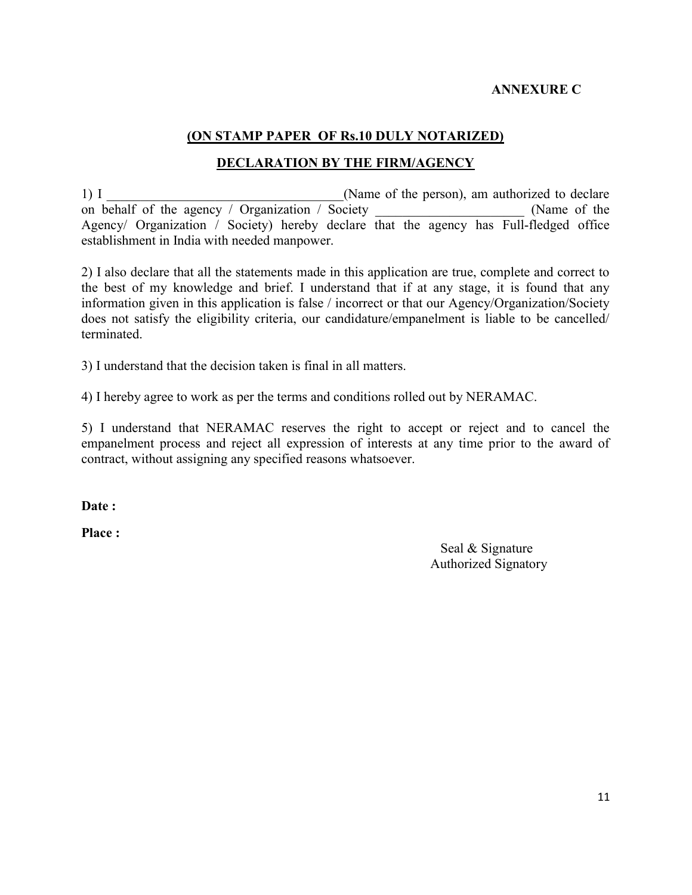### ANNEXURE C

## (ON STAMP PAPER OF Rs.10 DULY NOTARIZED)

### DECLARATION BY THE FIRM/AGENCY

1) I contract the Secondary Channel Channel (Name of the person), am authorized to declare on behalf of the agency / Organization / Society (Name of the Agency/ Organization / Society) hereby declare that the agency has Full-fledged office establishment in India with needed manpower.

2) I also declare that all the statements made in this application are true, complete and correct to the best of my knowledge and brief. I understand that if at any stage, it is found that any information given in this application is false / incorrect or that our Agency/Organization/Society does not satisfy the eligibility criteria, our candidature/empanelment is liable to be cancelled/ terminated.

3) I understand that the decision taken is final in all matters.

4) I hereby agree to work as per the terms and conditions rolled out by NERAMAC.

5) I understand that NERAMAC reserves the right to accept or reject and to cancel the empanelment process and reject all expression of interests at any time prior to the award of contract, without assigning any specified reasons whatsoever.

Date:

Place :